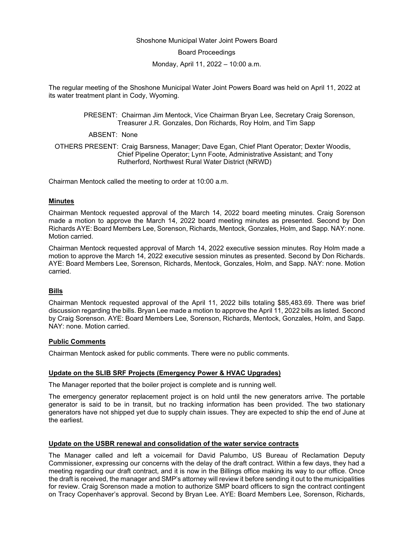#### Shoshone Municipal Water Joint Powers Board

Board Proceedings

Monday, April 11, 2022 – 10:00 a.m.

The regular meeting of the Shoshone Municipal Water Joint Powers Board was held on April 11, 2022 at its water treatment plant in Cody, Wyoming.

> PRESENT: Chairman Jim Mentock, Vice Chairman Bryan Lee, Secretary Craig Sorenson, Treasurer J.R. Gonzales, Don Richards, Roy Holm, and Tim Sapp

ABSENT: None

OTHERS PRESENT: Craig Barsness, Manager; Dave Egan, Chief Plant Operator; Dexter Woodis, Chief Pipeline Operator; Lynn Foote, Administrative Assistant; and Tony Rutherford, Northwest Rural Water District (NRWD)

Chairman Mentock called the meeting to order at 10:00 a.m.

#### **Minutes**

Chairman Mentock requested approval of the March 14, 2022 board meeting minutes. Craig Sorenson made a motion to approve the March 14, 2022 board meeting minutes as presented. Second by Don Richards AYE: Board Members Lee, Sorenson, Richards, Mentock, Gonzales, Holm, and Sapp. NAY: none. Motion carried.

Chairman Mentock requested approval of March 14, 2022 executive session minutes. Roy Holm made a motion to approve the March 14, 2022 executive session minutes as presented. Second by Don Richards. AYE: Board Members Lee, Sorenson, Richards, Mentock, Gonzales, Holm, and Sapp. NAY: none. Motion carried.

### **Bills**

Chairman Mentock requested approval of the April 11, 2022 bills totaling \$85,483.69. There was brief discussion regarding the bills. Bryan Lee made a motion to approve the April 11, 2022 bills as listed. Second by Craig Sorenson. AYE: Board Members Lee, Sorenson, Richards, Mentock, Gonzales, Holm, and Sapp. NAY: none. Motion carried.

### **Public Comments**

Chairman Mentock asked for public comments. There were no public comments.

### **Update on the SLIB SRF Projects (Emergency Power & HVAC Upgrades)**

The Manager reported that the boiler project is complete and is running well.

The emergency generator replacement project is on hold until the new generators arrive. The portable generator is said to be in transit, but no tracking information has been provided. The two stationary generators have not shipped yet due to supply chain issues. They are expected to ship the end of June at the earliest.

### **Update on the USBR renewal and consolidation of the water service contracts**

The Manager called and left a voicemail for David Palumbo, US Bureau of Reclamation Deputy Commissioner, expressing our concerns with the delay of the draft contract. Within a few days, they had a meeting regarding our draft contract, and it is now in the Billings office making its way to our office. Once the draft is received, the manager and SMP's attorney will review it before sending it out to the municipalities for review. Craig Sorenson made a motion to authorize SMP board officers to sign the contract contingent on Tracy Copenhaver's approval. Second by Bryan Lee. AYE: Board Members Lee, Sorenson, Richards,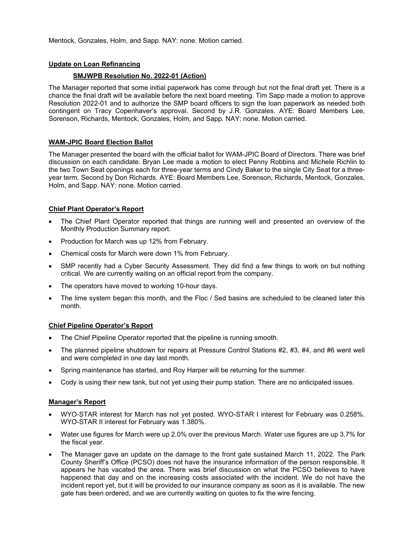Mentock, Gonzales, Holm, and Sapp. NAY: none. Motion carried.

## **Update on Loan Refinancing**

# **SMJWPB Resolution No. 2022-01 (Action)**

The Manager reported that some initial paperwork has come through but not the final draft yet. There is a chance the final draft will be available before the next board meeting. Tim Sapp made a motion to approve Resolution 2022-01 and to authorize the SMP board officers to sign the loan paperwork as needed both contingent on Tracy Copenhaver's approval. Second by J.R. Gonzales. AYE: Board Members Lee, Sorenson, Richards, Mentock, Gonzales, Holm, and Sapp. NAY: none. Motion carried.

## **WAM-JPIC Board Election Ballot**

The Manager presented the board with the official ballot for WAM-JPIC Board of Directors. There was brief discussion on each candidate. Bryan Lee made a motion to elect Penny Robbins and Michele Richlin to the two Town Seat openings each for three-year terms and Cindy Baker to the single City Seat for a threeyear term. Second by Don Richards. AYE: Board Members Lee, Sorenson, Richards, Mentock, Gonzales, Holm, and Sapp. NAY: none. Motion carried.

## **Chief Plant Operator's Report**

- The Chief Plant Operator reported that things are running well and presented an overview of the Monthly Production Summary report.
- Production for March was up 12% from February.
- Chemical costs for March were down 1% from February.
- SMP recently had a Cyber Security Assessment. They did find a few things to work on but nothing critical. We are currently waiting on an official report from the company.
- The operators have moved to working 10-hour days.
- The lime system began this month, and the Floc / Sed basins are scheduled to be cleaned later this month.

### **Chief Pipeline Operator's Report**

- The Chief Pipeline Operator reported that the pipeline is running smooth.
- The planned pipeline shutdown for repairs at Pressure Control Stations #2, #3, #4, and #6 went well and were completed in one day last month.
- Spring maintenance has started, and Roy Harper will be returning for the summer.
- Cody is using their new tank, but not yet using their pump station. There are no anticipated issues.

### **Manager's Report**

- WYO-STAR interest for March has not yet posted. WYO-STAR I interest for February was 0.258%. WYO-STAR II interest for February was 1.380%.
- Water use figures for March were up 2.0% over the previous March. Water use figures are up 3.7% for the fiscal year.
- The Manager gave an update on the damage to the front gate sustained March 11, 2022. The Park County Sheriff's Office (PCSO) does not have the insurance information of the person responsible. It appears he has vacated the area. There was brief discussion on what the PCSO believes to have happened that day and on the increasing costs associated with the incident. We do not have the incident report yet, but it will be provided to our insurance company as soon as it is available. The new gate has been ordered, and we are currently waiting on quotes to fix the wire fencing.